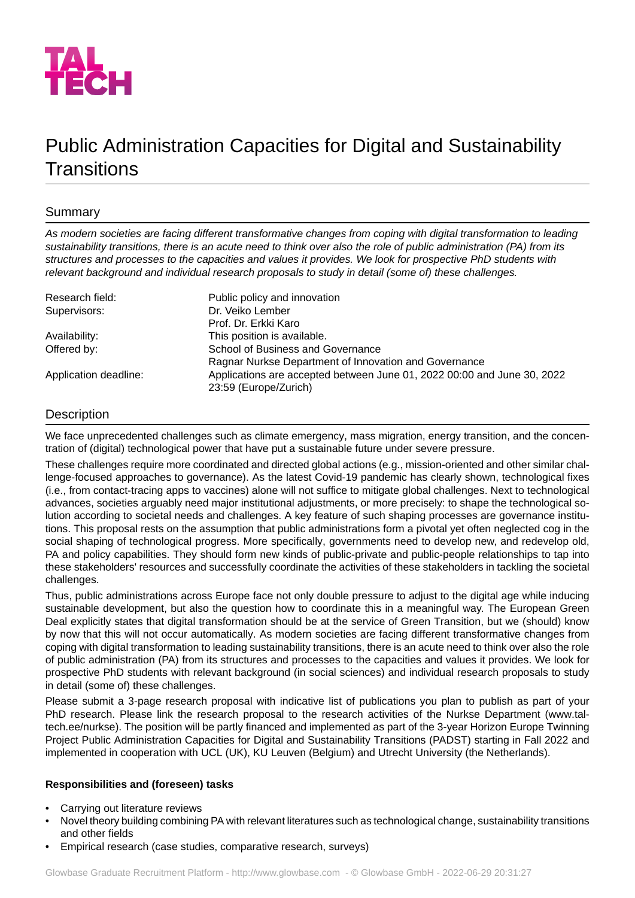

# Public Administration Capacities for Digital and Sustainability **Transitions**

## Summary

*As modern societies are facing different transformative changes from coping with digital transformation to leading* sustainability transitions, there is an acute need to think over also the role of public administration (PA) from its structures and processes to the capacities and values it provides. We look for prospective PhD students with *relevant background and individual research proposals to study in detail (some of) these challenges.*

| Research field:       | Public policy and innovation                                                                     |
|-----------------------|--------------------------------------------------------------------------------------------------|
| Supervisors:          | Dr. Veiko Lember                                                                                 |
|                       | Prof. Dr. Erkki Karo                                                                             |
| Availability:         | This position is available.                                                                      |
| Offered by:           | School of Business and Governance                                                                |
|                       | Ragnar Nurkse Department of Innovation and Governance                                            |
| Application deadline: | Applications are accepted between June 01, 2022 00:00 and June 30, 2022<br>23:59 (Europe/Zurich) |

## **Description**

We face unprecedented challenges such as climate emergency, mass migration, energy transition, and the concentration of (digital) technological power that have put a sustainable future under severe pressure.

These challenges require more coordinated and directed global actions (e.g., mission-oriented and other similar challenge-focused approaches to governance). As the latest Covid-19 pandemic has clearly shown, technological fixes (i.e., from contact-tracing apps to vaccines) alone will not suffice to mitigate global challenges. Next to technological advances, societies arguably need major institutional adjustments, or more precisely: to shape the technological solution according to societal needs and challenges. A key feature of such shaping processes are governance institutions. This proposal rests on the assumption that public administrations form a pivotal yet often neglected cog in the social shaping of technological progress. More specifically, governments need to develop new, and redevelop old, PA and policy capabilities. They should form new kinds of public-private and public-people relationships to tap into these stakeholders' resources and successfully coordinate the activities of these stakeholders in tackling the societal challenges.

Thus, public administrations across Europe face not only double pressure to adjust to the digital age while inducing sustainable development, but also the question how to coordinate this in a meaningful way. The European Green Deal explicitly states that digital transformation should be at the service of Green Transition, but we (should) know by now that this will not occur automatically. As modern societies are facing different transformative changes from coping with digital transformation to leading sustainability transitions, there is an acute need to think over also the role of public administration (PA) from its structures and processes to the capacities and values it provides. We look for prospective PhD students with relevant background (in social sciences) and individual research proposals to study in detail (some of) these challenges.

Please submit a 3-page research proposal with indicative list of publications you plan to publish as part of your PhD research. Please link the research proposal to the research activities of the Nurkse Department (www.taltech.ee/nurkse). The position will be partly financed and implemented as part of the 3-year Horizon Europe Twinning Project Public Administration Capacities for Digital and Sustainability Transitions (PADST) starting in Fall 2022 and implemented in cooperation with UCL (UK), KU Leuven (Belgium) and Utrecht University (the Netherlands).

## **Responsibilities and (foreseen) tasks**

- Carrying out literature reviews
- Novel theory building combining PA with relevant literatures such as technological change, sustainability transitions and other fields
- Empirical research (case studies, comparative research, surveys)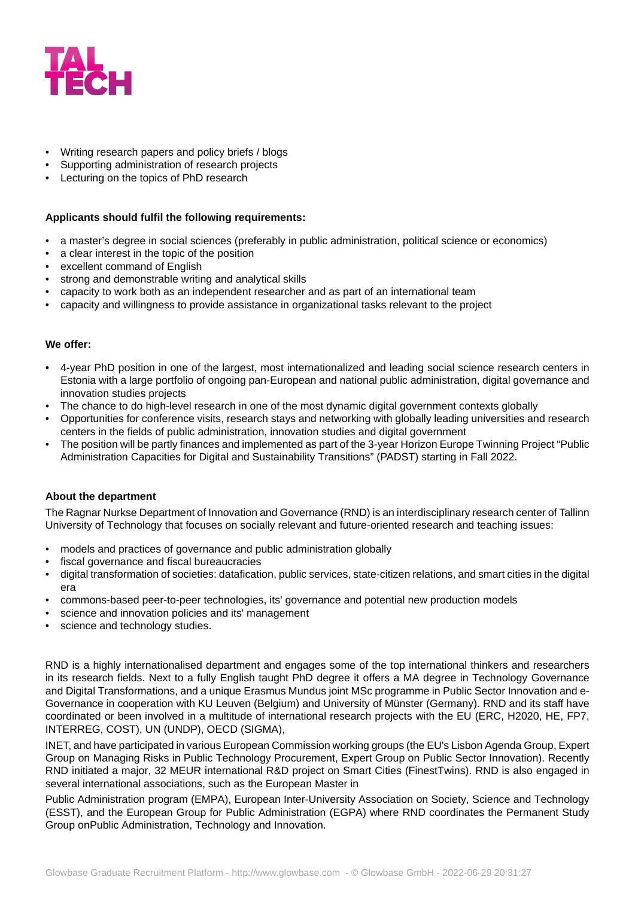

- Writing research papers and policy briefs / blogs
- Supporting administration of research projects
- Lecturing on the topics of PhD research

#### **Applicants should fulfil the following requirements:**

- a master's degree in social sciences (preferably in public administration, political science or economics)
- a clear interest in the topic of the position
- excellent command of English
- strong and demonstrable writing and analytical skills
- capacity to work both as an independent researcher and as part of an international team
- capacity and willingness to provide assistance in organizational tasks relevant to the project

#### **We offer:**

- 4-year PhD position in one of the largest, most internationalized and leading social science research centers in Estonia with a large portfolio of ongoing pan-European and national public administration, digital governance and innovation studies projects
- The chance to do high-level research in one of the most dynamic digital government contexts globally
- Opportunities for conference visits, research stays and networking with globally leading universities and research centers in the fields of public administration, innovation studies and digital government
- The position will be partly finances and implemented as part of the 3-year Horizon Europe Twinning Project "Public Administration Capacities for Digital and Sustainability Transitions" (PADST) starting in Fall 2022.

#### **About the department**

The Ragnar Nurkse Department of Innovation and Governance (RND) is an interdisciplinary research center of Tallinn University of Technology that focuses on socially relevant and future-oriented research and teaching issues:

- models and practices of governance and public administration globally
- fiscal governance and fiscal bureaucracies
- digital transformation of societies: datafication, public services, state-citizen relations, and smart cities in the digital era
- commons-based peer-to-peer technologies, its' governance and potential new production models
- science and innovation policies and its' management
- science and technology studies.

RND is a highly internationalised department and engages some of the top international thinkers and researchers in its research fields. Next to a fully English taught PhD degree it offers a MA degree in Technology Governance and Digital Transformations, and a unique Erasmus Mundus joint MSc programme in Public Sector Innovation and e-Governance in cooperation with KU Leuven (Belgium) and University of Münster (Germany). RND and its staff have coordinated or been involved in a multitude of international research projects with the EU (ERC, H2020, HE, FP7, INTERREG, COST), UN (UNDP), OECD (SIGMA),

INET, and have participated in various European Commission working groups (the EU's Lisbon Agenda Group, Expert Group on Managing Risks in Public Technology Procurement, Expert Group on Public Sector Innovation). Recently RND initiated a major, 32 MEUR international R&D project on Smart Cities (FinestTwins). RND is also engaged in several international associations, such as the European Master in

Public Administration program (EMPA), European Inter-University Association on Society, Science and Technology (ESST), and the European Group for Public Administration (EGPA) where RND coordinates the Permanent Study Group onPublic Administration, Technology and Innovation.